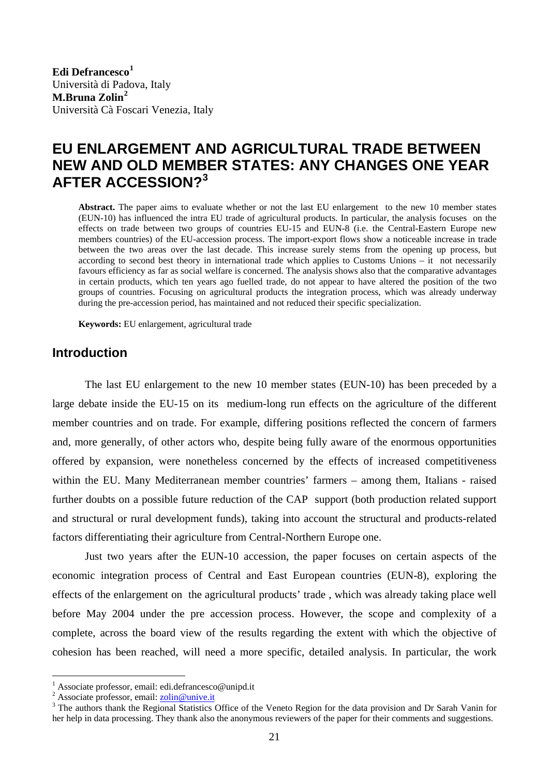**Edi Defrancesco[1](#page-0-0)** Università di Padova, Italy **M.Bruna Zolin[2](#page-0-1)** Università Cà Foscari Venezia, Italy

# **EU ENLARGEMENT AND AGRICULTURAL TRADE BETWEEN NEW AND OLD MEMBER STATES: ANY CHANGES ONE YEAR AFTER ACCESSION?[3](#page-0-2)**

**Abstract.** The paper aims to evaluate whether or not the last EU enlargement to the new 10 member states (EUN-10) has influenced the intra EU trade of agricultural products. In particular, the analysis focuses on the effects on trade between two groups of countries EU-15 and EUN-8 (i.e. the Central-Eastern Europe new members countries) of the EU-accession process. The import-export flows show a noticeable increase in trade between the two areas over the last decade. This increase surely stems from the opening up process, but according to second best theory in international trade which applies to Customs Unions – it not necessarily favours efficiency as far as social welfare is concerned. The analysis shows also that the comparative advantages in certain products, which ten years ago fuelled trade, do not appear to have altered the position of the two groups of countries. Focusing on agricultural products the integration process, which was already underway during the pre-accession period, has maintained and not reduced their specific specialization.

**Keywords:** EU enlargement, agricultural trade

## **Introduction**

The last EU enlargement to the new 10 member states (EUN-10) has been preceded by a large debate inside the EU-15 on its medium-long run effects on the agriculture of the different member countries and on trade. For example, differing positions reflected the concern of farmers and, more generally, of other actors who, despite being fully aware of the enormous opportunities offered by expansion, were nonetheless concerned by the effects of increased competitiveness within the EU. Many Mediterranean member countries' farmers – among them, Italians - raised further doubts on a possible future reduction of the CAP support (both production related support and structural or rural development funds), taking into account the structural and products-related factors differentiating their agriculture from Central-Northern Europe one.

Just two years after the EUN-10 accession, the paper focuses on certain aspects of the economic integration process of Central and East European countries (EUN-8), exploring the effects of the enlargement on the agricultural products' trade , which was already taking place well before May 2004 under the pre accession process. However, the scope and complexity of a complete, across the board view of the results regarding the extent with which the objective of cohesion has been reached, will need a more specific, detailed analysis. In particular, the work

 $\overline{a}$ 

<span id="page-0-0"></span><sup>1</sup> Associate professor, email: edi.defrancesco@unipd.it

<sup>&</sup>lt;sup>2</sup> Associate professor, email:  $\frac{1}{2}$   $\frac{1}{2}$   $\frac{1}{2}$   $\frac{1}{2}$   $\frac{1}{2}$   $\frac{1}{2}$   $\frac{1}{2}$   $\frac{1}{2}$   $\frac{1}{2}$   $\frac{1}{2}$   $\frac{1}{2}$   $\frac{1}{2}$   $\frac{1}{2}$   $\frac{1}{2}$   $\frac{1}{2}$   $\frac{1}{2}$   $\frac{1}{2}$   $\frac{1}{2}$   $\frac{1}{2}$ 

<span id="page-0-2"></span><span id="page-0-1"></span><sup>&</sup>lt;sup>3</sup> The authors thank the Regional Statistics Office of the Veneto Region for the data provision and Dr Sarah Vanin for her help in data processing. They thank also the anonymous reviewers of the paper for their comments and suggestions.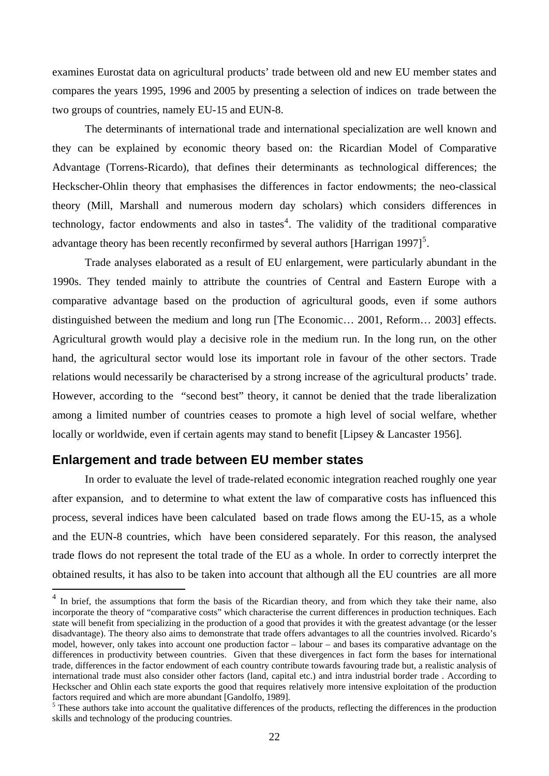examines Eurostat data on agricultural products' trade between old and new EU member states and compares the years 1995, 1996 and 2005 by presenting a selection of indices on trade between the two groups of countries, namely EU-15 and EUN-8.

The determinants of international trade and international specialization are well known and they can be explained by economic theory based on: the Ricardian Model of Comparative Advantage (Torrens-Ricardo), that defines their determinants as technological differences; the Heckscher-Ohlin theory that emphasises the differences in factor endowments; the neo-classical theory (Mill, Marshall and numerous modern day scholars) which considers differences in technology, factor endowments and also in tastes<sup>[4](#page-1-0)</sup>. The validity of the traditional comparative advantage theory has been recently reconfirmed by several authors [Harrigan 1997]<sup>[5](#page-1-1)</sup>.

Trade analyses elaborated as a result of EU enlargement, were particularly abundant in the 1990s. They tended mainly to attribute the countries of Central and Eastern Europe with a comparative advantage based on the production of agricultural goods, even if some authors distinguished between the medium and long run [The Economic… 2001, Reform… 2003] effects. Agricultural growth would play a decisive role in the medium run. In the long run, on the other hand, the agricultural sector would lose its important role in favour of the other sectors. Trade relations would necessarily be characterised by a strong increase of the agricultural products' trade. However, according to the "second best" theory, it cannot be denied that the trade liberalization among a limited number of countries ceases to promote a high level of social welfare, whether locally or worldwide, even if certain agents may stand to benefit [Lipsey & Lancaster 1956].

### **Enlargement and trade between EU member states**

 $\overline{a}$ 

In order to evaluate the level of trade-related economic integration reached roughly one year after expansion, and to determine to what extent the law of comparative costs has influenced this process, several indices have been calculated based on trade flows among the EU-15, as a whole and the EUN-8 countries, which have been considered separately. For this reason, the analysed trade flows do not represent the total trade of the EU as a whole. In order to correctly interpret the obtained results, it has also to be taken into account that although all the EU countries are all more

<span id="page-1-0"></span><sup>&</sup>lt;sup>4</sup> In brief, the assumptions that form the basis of the Ricardian theory, and from which they take their name, also incorporate the theory of "comparative costs" which characterise the current differences in production techniques. Each state will benefit from specializing in the production of a good that provides it with the greatest advantage (or the lesser disadvantage). The theory also aims to demonstrate that trade offers advantages to all the countries involved. Ricardo's model, however, only takes into account one production factor – labour – and bases its comparative advantage on the differences in productivity between countries. Given that these divergences in fact form the bases for international trade, differences in the factor endowment of each country contribute towards favouring trade but, a realistic analysis of international trade must also consider other factors (land, capital etc.) and intra industrial border trade . According to Heckscher and Ohlin each state exports the good that requires relatively more intensive exploitation of the production factors required and which are more abundant [Gandolfo, 1989].

<span id="page-1-1"></span><sup>&</sup>lt;sup>5</sup> These authors take into account the qualitative differences of the products, reflecting the differences in the production skills and technology of the producing countries.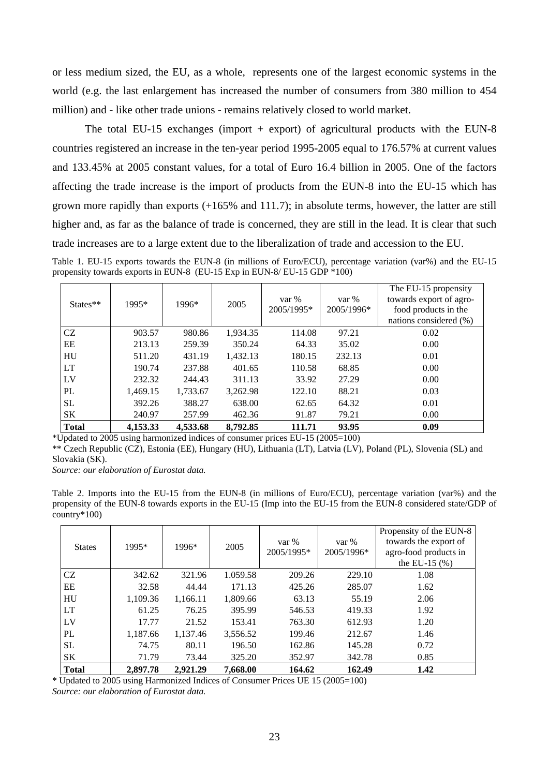or less medium sized, the EU, as a whole, represents one of the largest economic systems in the world (e.g. the last enlargement has increased the number of consumers from 380 million to 454 million) and - like other trade unions - remains relatively closed to world market.

The total EU-15 exchanges (import  $+$  export) of agricultural products with the EUN-8 countries registered an increase in the ten-year period 1995-2005 equal to 176.57% at current values and 133.45% at 2005 constant values, for a total of Euro 16.4 billion in 2005. One of the factors affecting the trade increase is the import of products from the EUN-8 into the EU-15 which has grown more rapidly than exports (+165% and 111.7); in absolute terms, however, the latter are still higher and, as far as the balance of trade is concerned, they are still in the lead. It is clear that such trade increases are to a large extent due to the liberalization of trade and accession to the EU.

Table 1. EU-15 exports towards the EUN-8 (in millions of Euro/ECU), percentage variation (var%) and the EU-15 propensity towards exports in EUN-8 (EU-15 Exp in EUN-8/ EU-15 GDP \*100)

| $States**$   | 1995*    | 1996*    | 2005     | var %<br>2005/1995* | var %<br>2005/1996* | The EU-15 propensity<br>towards export of agro-<br>food products in the<br>nations considered (%) |
|--------------|----------|----------|----------|---------------------|---------------------|---------------------------------------------------------------------------------------------------|
| CZ           | 903.57   | 980.86   | 1,934.35 | 114.08              | 97.21               | 0.02                                                                                              |
| EE           | 213.13   | 259.39   | 350.24   | 64.33               | 35.02               | 0.00                                                                                              |
| HU           | 511.20   | 431.19   | 1,432.13 | 180.15              | 232.13              | 0.01                                                                                              |
| <b>LT</b>    | 190.74   | 237.88   | 401.65   | 110.58              | 68.85               | 0.00                                                                                              |
| LV           | 232.32   | 244.43   | 311.13   | 33.92               | 27.29               | 0.00                                                                                              |
| PL           | 1,469.15 | 1,733.67 | 3,262.98 | 122.10              | 88.21               | 0.03                                                                                              |
| <b>SL</b>    | 392.26   | 388.27   | 638.00   | 62.65               | 64.32               | 0.01                                                                                              |
| SK           | 240.97   | 257.99   | 462.36   | 91.87               | 79.21               | 0.00                                                                                              |
| <b>Total</b> | 4,153.33 | 4,533.68 | 8,792.85 | 111.71              | 93.95               | 0.09                                                                                              |

\*Updated to 2005 using harmonized indices of consumer prices EU-15 (2005=100)

\*\* Czech Republic (CZ), Estonia (EE), Hungary (HU), Lithuania (LT), Latvia (LV), Poland (PL), Slovenia (SL) and Slovakia (SK).

*Source: our elaboration of Eurostat data.* 

Table 2. Imports into the EU-15 from the EUN-8 (in millions of Euro/ECU), percentage variation (var%) and the propensity of the EUN-8 towards exports in the EU-15 (Imp into the EU-15 from the EUN-8 considered state/GDP of country\*100)

| <b>Total</b>  | 2,897.78 | 2.921.29 | 7,668.00 | 164.62              | 162.49              | 1.42                                                                                           |
|---------------|----------|----------|----------|---------------------|---------------------|------------------------------------------------------------------------------------------------|
| SK            | 71.79    | 73.44    | 325.20   | 352.97              | 342.78              | 0.85                                                                                           |
| <b>SL</b>     | 74.75    | 80.11    | 196.50   | 162.86              | 145.28              | 0.72                                                                                           |
| PL            | 1,187.66 | 1,137.46 | 3,556.52 | 199.46              | 212.67              | 1.46                                                                                           |
| LV            | 17.77    | 21.52    | 153.41   | 763.30              | 612.93              | 1.20                                                                                           |
| <b>LT</b>     | 61.25    | 76.25    | 395.99   | 546.53              | 419.33              | 1.92                                                                                           |
| HU            | 1,109.36 | 1,166.11 | 1,809.66 | 63.13               | 55.19               | 2.06                                                                                           |
| EE            | 32.58    | 44.44    | 171.13   | 425.26              | 285.07              | 1.62                                                                                           |
| CZ            | 342.62   | 321.96   | 1.059.58 | 209.26              | 229.10              | 1.08                                                                                           |
| <b>States</b> | 1995*    | 1996*    | 2005     | var %<br>2005/1995* | var %<br>2005/1996* | Propensity of the EUN-8<br>towards the export of<br>agro-food products in<br>the EU-15 $(\% )$ |

\* Updated to 2005 using Harmonized Indices of Consumer Prices UE 15 (2005=100)

*Source: our elaboration of Eurostat data.*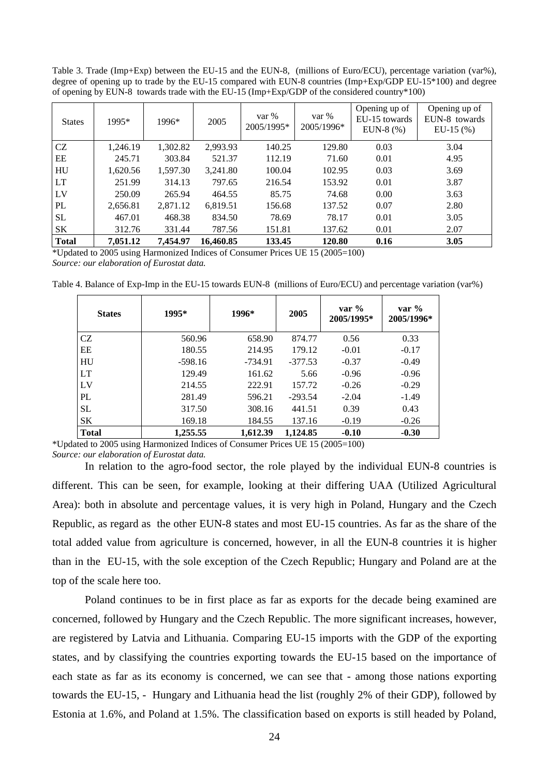Table 3. Trade (Imp+Exp) between the EU-15 and the EUN-8, (millions of Euro/ECU), percentage variation (var%), degree of opening up to trade by the EU-15 compared with EUN-8 countries (Imp+Exp/GDP EU-15\*100) and degree of opening by EUN-8 towards trade with the EU-15 (Imp+Exp/GDP of the considered country\*100)

| <b>States</b> | 1995*    | 1996*    | 2005      | var %<br>2005/1995* | var %<br>2005/1996* | Opening up of<br>EU-15 towards<br>EUN-8 $(%)$ | Opening up of<br>EUN-8 towards<br>$EU-15$ $(\%)$ |
|---------------|----------|----------|-----------|---------------------|---------------------|-----------------------------------------------|--------------------------------------------------|
| CZ            | 1,246.19 | 1,302.82 | 2,993.93  | 140.25              | 129.80              | 0.03                                          | 3.04                                             |
| EE            | 245.71   | 303.84   | 521.37    | 112.19              | 71.60               | 0.01                                          | 4.95                                             |
| HU            | 1,620.56 | 1,597.30 | 3,241.80  | 100.04              | 102.95              | 0.03                                          | 3.69                                             |
| LT            | 251.99   | 314.13   | 797.65    | 216.54              | 153.92              | 0.01                                          | 3.87                                             |
| LV            | 250.09   | 265.94   | 464.55    | 85.75               | 74.68               | 0.00                                          | 3.63                                             |
| PL            | 2,656.81 | 2,871.12 | 6,819.51  | 156.68              | 137.52              | 0.07                                          | 2.80                                             |
| <b>SL</b>     | 467.01   | 468.38   | 834.50    | 78.69               | 78.17               | 0.01                                          | 3.05                                             |
| SK            | 312.76   | 331.44   | 787.56    | 151.81              | 137.62              | 0.01                                          | 2.07                                             |
| <b>Total</b>  | 7,051.12 | 7,454.97 | 16.460.85 | 133.45              | 120.80              | 0.16                                          | 3.05                                             |

\*Updated to 2005 using Harmonized Indices of Consumer Prices UE 15 (2005=100) *Source: our elaboration of Eurostat data.* 

Table 4. Balance of Exp-Imp in the EU-15 towards EUN-8 (millions of Euro/ECU) and percentage variation (var%)

| <b>States</b> | 1995*     | 1996*     | 2005      | var $\%$<br>2005/1995* | var $\%$<br>2005/1996* |
|---------------|-----------|-----------|-----------|------------------------|------------------------|
| <b>CZ</b>     | 560.96    | 658.90    | 874.77    | 0.56                   | 0.33                   |
| EE            | 180.55    | 214.95    | 179.12    | $-0.01$                | $-0.17$                |
| HU            | $-598.16$ | $-734.91$ | $-377.53$ | $-0.37$                | $-0.49$                |
| <b>LT</b>     | 129.49    | 161.62    | 5.66      | $-0.96$                | $-0.96$                |
| LV            | 214.55    | 222.91    | 157.72    | $-0.26$                | $-0.29$                |
| PL            | 281.49    | 596.21    | $-293.54$ | $-2.04$                | $-1.49$                |
| <b>SL</b>     | 317.50    | 308.16    | 441.51    | 0.39                   | 0.43                   |
| <b>SK</b>     | 169.18    | 184.55    | 137.16    | $-0.19$                | $-0.26$                |
| <b>Total</b>  | 1,255.55  | 1,612.39  | 1.124.85  | $-0.10$                | $-0.30$                |

\*Updated to 2005 using Harmonized Indices of Consumer Prices UE 15 (2005=100) *Source: our elaboration of Eurostat data.* 

In relation to the agro-food sector, the role played by the individual EUN-8 countries is different. This can be seen, for example, looking at their differing UAA (Utilized Agricultural Area): both in absolute and percentage values, it is very high in Poland, Hungary and the Czech Republic, as regard as the other EUN-8 states and most EU-15 countries. As far as the share of the total added value from agriculture is concerned, however, in all the EUN-8 countries it is higher than in the EU-15, with the sole exception of the Czech Republic; Hungary and Poland are at the top of the scale here too.

Poland continues to be in first place as far as exports for the decade being examined are concerned, followed by Hungary and the Czech Republic. The more significant increases, however, are registered by Latvia and Lithuania. Comparing EU-15 imports with the GDP of the exporting states, and by classifying the countries exporting towards the EU-15 based on the importance of each state as far as its economy is concerned, we can see that - among those nations exporting towards the EU-15, - Hungary and Lithuania head the list (roughly 2% of their GDP), followed by Estonia at 1.6%, and Poland at 1.5%. The classification based on exports is still headed by Poland,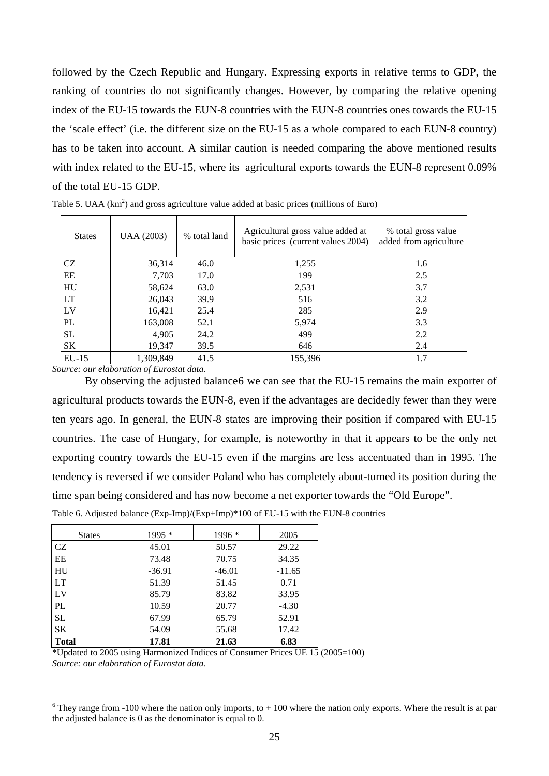followed by the Czech Republic and Hungary. Expressing exports in relative terms to GDP, the ranking of countries do not significantly changes. However, by comparing the relative opening index of the EU-15 towards the EUN-8 countries with the EUN-8 countries ones towards the EU-15 the 'scale effect' (i.e. the different size on the EU-15 as a whole compared to each EUN-8 country) has to be taken into account. A similar caution is needed comparing the above mentioned results with index related to the EU-15, where its agricultural exports towards the EUN-8 represent 0.09% of the total EU-15 GDP.

| <b>States</b> | UAA (2003) | % total land | Agricultural gross value added at<br>basic prices (current values 2004) | % total gross value<br>added from agriculture |
|---------------|------------|--------------|-------------------------------------------------------------------------|-----------------------------------------------|
| CZ            | 36,314     | 46.0         | 1,255                                                                   | 1.6                                           |
| EE            | 7,703      | 17.0         | 199                                                                     | 2.5                                           |
| HU            | 58,624     | 63.0         | 2,531                                                                   | 3.7                                           |
| <b>LT</b>     | 26,043     | 39.9         | 516                                                                     | 3.2                                           |
| LV            | 16,421     | 25.4         | 285                                                                     | 2.9                                           |
| PL            | 163,008    | 52.1         | 5,974                                                                   | 3.3                                           |
| <b>SL</b>     | 4,905      | 24.2         | 499                                                                     | 2.2                                           |
| SΚ            | 19,347     | 39.5         | 646                                                                     | 2.4                                           |
| $EU-15$       | 1,309,849  | 41.5         | 155,396                                                                 | 1.7                                           |

Table 5. UAA  $(km^2)$  and gross agriculture value added at basic prices (millions of Euro)

*Source: our elaboration of Eurostat data.* 

 $\overline{a}$ 

By observing the adjusted balanc[e6](#page-4-0) we can see that the EU-15 remains the main exporter of agricultural products towards the EUN-8, even if the advantages are decidedly fewer than they were ten years ago. In general, the EUN-8 states are improving their position if compared with EU-15 countries. The case of Hungary, for example, is noteworthy in that it appears to be the only net exporting country towards the EU-15 even if the margins are less accentuated than in 1995. The tendency is reversed if we consider Poland who has completely about-turned its position during the time span being considered and has now become a net exporter towards the "Old Europe".

|  |  |  | Table 6. Adjusted balance (Exp-Imp)/(Exp+Imp)*100 of EU-15 with the EUN-8 countries |
|--|--|--|-------------------------------------------------------------------------------------|
|--|--|--|-------------------------------------------------------------------------------------|

| <b>States</b>  | $1995*$  | 1996 *   | 2005     |
|----------------|----------|----------|----------|
| CZ             | 45.01    | 50.57    | 29.22    |
| EE             | 73.48    | 70.75    | 34.35    |
| HU             | $-36.91$ | $-46.01$ | $-11.65$ |
| LT             | 51.39    | 51.45    | 0.71     |
| L <sub>V</sub> | 85.79    | 83.82    | 33.95    |
| PL             | 10.59    | 20.77    | $-4.30$  |
| <b>SL</b>      | 67.99    | 65.79    | 52.91    |
| <b>SK</b>      | 54.09    | 55.68    | 17.42    |
| <b>Total</b>   | 17.81    | 21.63    | 6.83     |

\*Updated to 2005 using Harmonized Indices of Consumer Prices UE 15 (2005=100) *Source: our elaboration of Eurostat data.* 

<span id="page-4-0"></span> $6$  They range from -100 where the nation only imports, to  $+100$  where the nation only exports. Where the result is at par the adjusted balance is 0 as the denominator is equal to 0.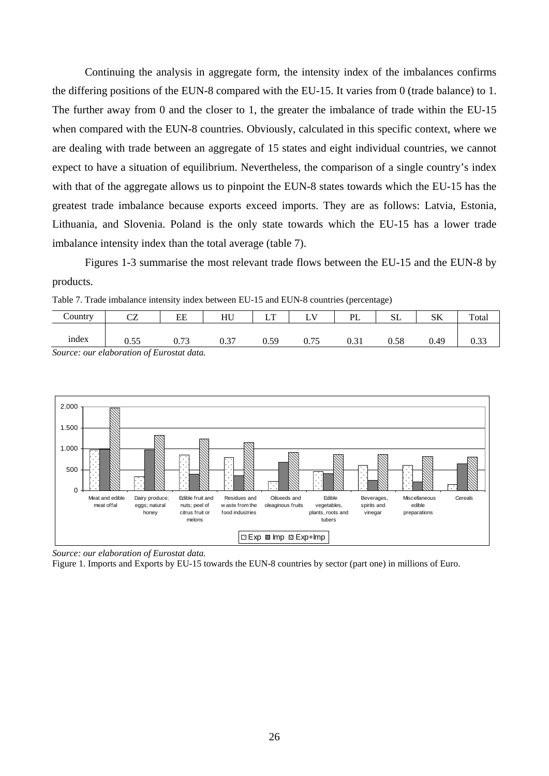Continuing the analysis in aggregate form, the intensity index of the imbalances confirms the differing positions of the EUN-8 compared with the EU-15. It varies from 0 (trade balance) to 1. The further away from 0 and the closer to 1, the greater the imbalance of trade within the EU-15 when compared with the EUN-8 countries. Obviously, calculated in this specific context, where we are dealing with trade between an aggregate of 15 states and eight individual countries, we cannot expect to have a situation of equilibrium. Nevertheless, the comparison of a single country's index with that of the aggregate allows us to pinpoint the EUN-8 states towards which the EU-15 has the greatest trade imbalance because exports exceed imports. They are as follows: Latvia, Estonia, Lithuania, and Slovenia. Poland is the only state towards which the EU-15 has a lower trade imbalance intensity index than the total average (table 7).

Figures 1-3 summarise the most relevant trade flows between the EU-15 and the EUN-8 by products.

Table 7. Trade imbalance intensity index between EU-15 and EUN-8 countries (percentage)

| `ountrv                                  | $\sim$<br>ັ | EE            | HU  | $\mathbf{r}$ |  | ÞI | بالان | лL   | Total |  |  |
|------------------------------------------|-------------|---------------|-----|--------------|--|----|-------|------|-------|--|--|
| index                                    | U.JJ        | $\mathcal{L}$ | ◡.◡ | 59<br>ິ      |  |    | 0.58  | 0.49 |       |  |  |
| Source: our elaboration of Eurostat data |             |               |     |              |  |    |       |      |       |  |  |

*Source: our elaboration of Eurostat data.* 



*Source: our elaboration of Eurostat data.* 

Figure 1. Imports and Exports by EU-15 towards the EUN-8 countries by sector (part one) in millions of Euro.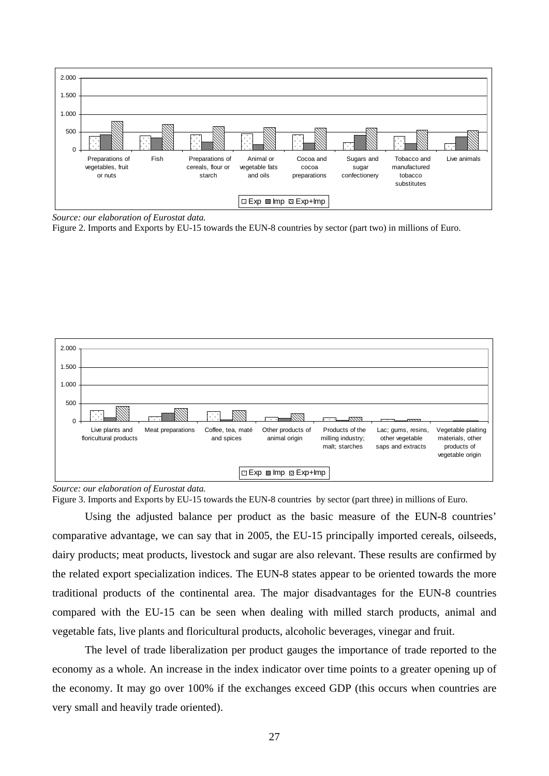

*Source: our elaboration of Eurostat data.* 

Figure 2. Imports and Exports by EU-15 towards the EUN-8 countries by sector (part two) in millions of Euro.



#### *Source: our elaboration of Eurostat data.*

Figure 3. Imports and Exports by EU-15 towards the EUN-8 countries by sector (part three) in millions of Euro.

Using the adjusted balance per product as the basic measure of the EUN-8 countries' comparative advantage, we can say that in 2005, the EU-15 principally imported cereals, oilseeds, dairy products; meat products, livestock and sugar are also relevant. These results are confirmed by the related export specialization indices. The EUN-8 states appear to be oriented towards the more traditional products of the continental area. The major disadvantages for the EUN-8 countries compared with the EU-15 can be seen when dealing with milled starch products, animal and vegetable fats, live plants and floricultural products, alcoholic beverages, vinegar and fruit.

The level of trade liberalization per product gauges the importance of trade reported to the economy as a whole. An increase in the index indicator over time points to a greater opening up of the economy. It may go over 100% if the exchanges exceed GDP (this occurs when countries are very small and heavily trade oriented).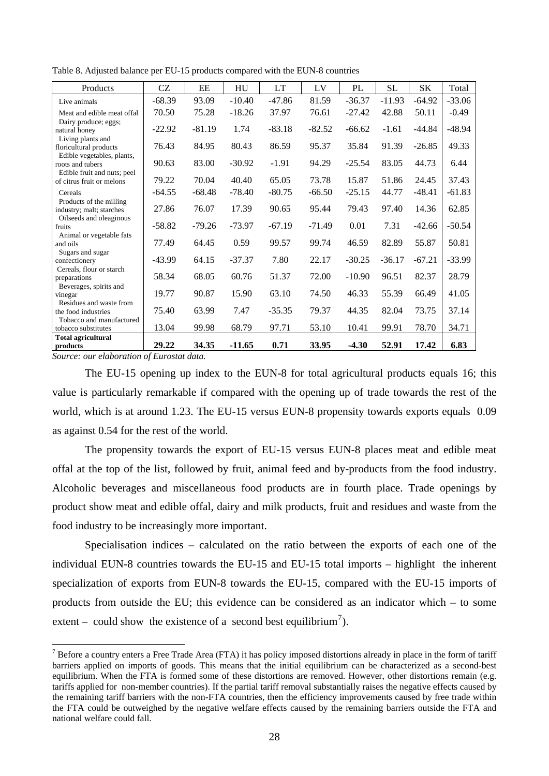Table 8. Adjusted balance per EU-15 products compared with the EUN-8 countries

| Products                                                                       | <b>CZ</b> | EE       | HU       | <b>LT</b> | LV       | PL       | <b>SL</b> | SK       | Total    |
|--------------------------------------------------------------------------------|-----------|----------|----------|-----------|----------|----------|-----------|----------|----------|
| Live animals                                                                   | $-68.39$  | 93.09    | $-10.40$ | $-47.86$  | 81.59    | $-36.37$ | $-11.93$  | $-64.92$ | $-33.06$ |
| Meat and edible meat offal                                                     | 70.50     | 75.28    | $-18.26$ | 37.97     | 76.61    | $-27.42$ | 42.88     | 50.11    | $-0.49$  |
| Dairy produce; eggs;<br>natural honey<br>Living plants and                     | $-22.92$  | $-81.19$ | 1.74     | $-83.18$  | $-82.52$ | $-66.62$ | $-1.61$   | $-44.84$ | $-48.94$ |
| floricultural products                                                         | 76.43     | 84.95    | 80.43    | 86.59     | 95.37    | 35.84    | 91.39     | $-26.85$ | 49.33    |
| Edible vegetables, plants,<br>roots and tubers<br>Edible fruit and nuts; peel  | 90.63     | 83.00    | $-30.92$ | $-1.91$   | 94.29    | $-25.54$ | 83.05     | 44.73    | 6.44     |
| of citrus fruit or melons                                                      | 79.22     | 70.04    | 40.40    | 65.05     | 73.78    | 15.87    | 51.86     | 24.45    | 37.43    |
| Cereals                                                                        | $-64.55$  | $-68.48$ | $-78.40$ | $-80.75$  | $-66.50$ | $-25.15$ | 44.77     | $-48.41$ | $-61.83$ |
| Products of the milling<br>industry; malt; starches<br>Oilseeds and oleaginous | 27.86     | 76.07    | 17.39    | 90.65     | 95.44    | 79.43    | 97.40     | 14.36    | 62.85    |
| fruits                                                                         | $-58.82$  | $-79.26$ | $-73.97$ | $-67.19$  | $-71.49$ | 0.01     | 7.31      | $-42.66$ | $-50.54$ |
| Animal or vegetable fats<br>and oils<br>Sugars and sugar                       | 77.49     | 64.45    | 0.59     | 99.57     | 99.74    | 46.59    | 82.89     | 55.87    | 50.81    |
| confectionery                                                                  | $-43.99$  | 64.15    | $-37.37$ | 7.80      | 22.17    | $-30.25$ | $-36.17$  | $-67.21$ | $-33.99$ |
| Cereals, flour or starch<br>preparations<br>Beverages, spirits and             | 58.34     | 68.05    | 60.76    | 51.37     | 72.00    | $-10.90$ | 96.51     | 82.37    | 28.79    |
| vinegar                                                                        | 19.77     | 90.87    | 15.90    | 63.10     | 74.50    | 46.33    | 55.39     | 66.49    | 41.05    |
| Residues and waste from<br>the food industries<br>Tobacco and manufactured     | 75.40     | 63.99    | 7.47     | $-35.35$  | 79.37    | 44.35    | 82.04     | 73.75    | 37.14    |
| tobacco substitutes                                                            | 13.04     | 99.98    | 68.79    | 97.71     | 53.10    | 10.41    | 99.91     | 78.70    | 34.71    |
| <b>Total agricultural</b><br>products                                          | 29.22     | 34.35    | $-11.65$ | 0.71      | 33.95    | $-4.30$  | 52.91     | 17.42    | 6.83     |

*Source: our elaboration of Eurostat data.* 

 $\overline{a}$ 

The EU-15 opening up index to the EUN-8 for total agricultural products equals 16; this value is particularly remarkable if compared with the opening up of trade towards the rest of the world, which is at around 1.23. The EU-15 versus EUN-8 propensity towards exports equals 0.09 as against 0.54 for the rest of the world.

The propensity towards the export of EU-15 versus EUN-8 places meat and edible meat offal at the top of the list, followed by fruit, animal feed and by-products from the food industry. Alcoholic beverages and miscellaneous food products are in fourth place. Trade openings by product show meat and edible offal, dairy and milk products, fruit and residues and waste from the food industry to be increasingly more important.

Specialisation indices – calculated on the ratio between the exports of each one of the individual EUN-8 countries towards the EU-15 and EU-15 total imports – highlight the inherent specialization of exports from EUN-8 towards the EU-15, compared with the EU-15 imports of products from outside the EU; this evidence can be considered as an indicator which – to some extent – could show the existence of a second best equilibrium<sup>[7](#page-7-0)</sup>).

<span id="page-7-0"></span> $<sup>7</sup>$  Before a country enters a Free Trade Area (FTA) it has policy imposed distortions already in place in the form of tariff</sup> barriers applied on imports of goods. This means that the initial equilibrium can be characterized as a second-best equilibrium. When the FTA is formed some of these distortions are removed. However, other distortions remain (e.g. tariffs applied for non-member countries). If the partial tariff removal substantially raises the negative effects caused by the remaining tariff barriers with the non-FTA countries, then the efficiency improvements caused by free trade within the FTA could be outweighed by the negative welfare effects caused by the remaining barriers outside the FTA and national welfare could fall.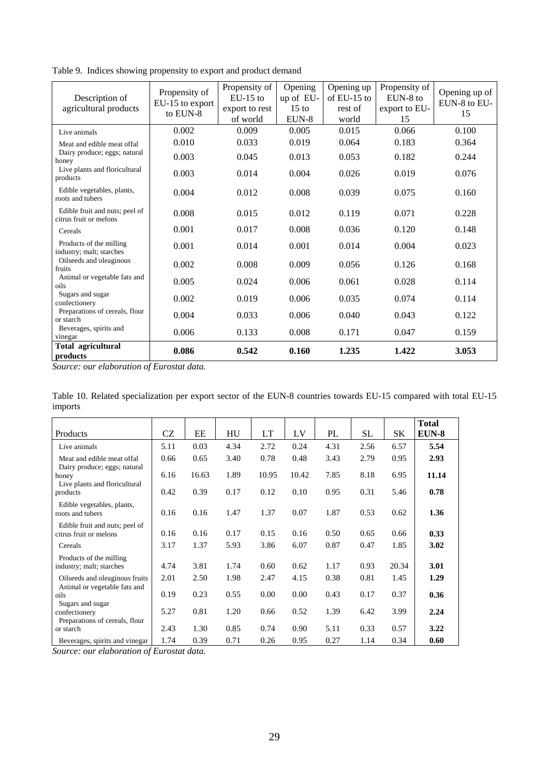Table 9. Indices showing propensity to export and product demand

| Description of<br>agricultural products                  | Propensity of<br>EU-15 to export<br>to EUN-8 | Propensity of<br>$EU-15$ to<br>export to rest<br>of world | Opening<br>up of EU-<br>$15 \text{ to}$<br>EUN-8 | Opening up<br>of $EU-15$ to<br>rest of<br>world | Propensity of<br>EUN-8 to<br>export to EU-<br>15 | Opening up of<br>EUN-8 to EU-<br>15 |
|----------------------------------------------------------|----------------------------------------------|-----------------------------------------------------------|--------------------------------------------------|-------------------------------------------------|--------------------------------------------------|-------------------------------------|
| Live animals                                             | 0.002                                        | 0.009                                                     | 0.005                                            | 0.015                                           | 0.066                                            | 0.100                               |
| Meat and edible meat offal                               | 0.010                                        | 0.033                                                     | 0.019                                            | 0.064                                           | 0.183                                            | 0.364                               |
| Dairy produce; eggs; natural<br>honey                    | 0.003                                        | 0.045                                                     | 0.013                                            | 0.053                                           | 0.182                                            | 0.244                               |
| Live plants and floricultural<br>products                | 0.003                                        | 0.014                                                     | 0.004                                            | 0.026                                           | 0.019                                            | 0.076                               |
| Edible vegetables, plants,<br>roots and tubers           | 0.004                                        | 0.012                                                     | 0.008                                            | 0.039                                           | 0.075                                            | 0.160                               |
| Edible fruit and nuts; peel of<br>citrus fruit or melons | 0.008                                        | 0.015                                                     | 0.012                                            | 0.119                                           | 0.071                                            | 0.228                               |
| Cereals                                                  | 0.001                                        | 0.017                                                     | 0.008                                            | 0.036                                           | 0.120                                            | 0.148                               |
| Products of the milling<br>industry; malt; starches      | 0.001                                        | 0.014                                                     | 0.001                                            | 0.014                                           | 0.004                                            | 0.023                               |
| Oilseeds and oleaginous<br>fruits                        | 0.002                                        | 0.008                                                     | 0.009                                            | 0.056                                           | 0.126                                            | 0.168                               |
| Animal or vegetable fats and<br>oils                     | 0.005                                        | 0.024                                                     | 0.006                                            | 0.061                                           | 0.028                                            | 0.114                               |
| Sugars and sugar<br>confectionery                        | 0.002                                        | 0.019                                                     | 0.006                                            | 0.035                                           | 0.074                                            | 0.114                               |
| Preparations of cereals, flour<br>or starch              | 0.004                                        | 0.033                                                     | 0.006                                            | 0.040                                           | 0.043                                            | 0.122                               |
| Beverages, spirits and<br>vinegar                        | 0.006                                        | 0.133                                                     | 0.008                                            | 0.171                                           | 0.047                                            | 0.159                               |
| Total agricultural<br>products                           | 0.086                                        | 0.542                                                     | 0.160                                            | 1.235                                           | 1.422                                            | 3.053                               |

*Source: our elaboration of Eurostat data.* 

|         | Table 10. Related specialization per export sector of the EUN-8 countries towards EU-15 compared with total EU-15 |  |  |  |  |  |  |
|---------|-------------------------------------------------------------------------------------------------------------------|--|--|--|--|--|--|
| imports |                                                                                                                   |  |  |  |  |  |  |

| Products                                                            | CZ   | EE    | HU   | LT    | LV    | PL   | SL   | SΚ    | <b>Total</b><br>EUN-8 |
|---------------------------------------------------------------------|------|-------|------|-------|-------|------|------|-------|-----------------------|
| Live animals                                                        | 5.11 | 0.03  | 4.34 | 2.72  | 0.24  | 4.31 | 2.56 | 6.57  | 5.54                  |
| Meat and edible meat offal<br>Dairy produce; eggs; natural          | 0.66 | 0.65  | 3.40 | 0.78  | 0.48  | 3.43 | 2.79 | 0.95  | 2.93                  |
| honey<br>Live plants and floricultural                              | 6.16 | 16.63 | 1.89 | 10.95 | 10.42 | 7.85 | 8.18 | 6.95  | 11.14                 |
| products                                                            | 0.42 | 0.39  | 0.17 | 0.12  | 0.10  | 0.95 | 0.31 | 5.46  | 0.78                  |
| Edible vegetables, plants,<br>roots and tubers                      | 0.16 | 0.16  | 1.47 | 1.37  | 0.07  | 1.87 | 0.53 | 0.62  | 1.36                  |
| Edible fruit and nuts; peel of<br>citrus fruit or melons            | 0.16 | 0.16  | 0.17 | 0.15  | 0.16  | 0.50 | 0.65 | 0.66  | 0.33                  |
| Cereals                                                             | 3.17 | 1.37  | 5.93 | 3.86  | 6.07  | 0.87 | 0.47 | 1.85  | 3.02                  |
| Products of the milling<br>industry; malt; starches                 | 4.74 | 3.81  | 1.74 | 0.60  | 0.62  | 1.17 | 0.93 | 20.34 | 3.01                  |
| Oilseeds and oleaginous fruits<br>Animal or vegetable fats and      | 2.01 | 2.50  | 1.98 | 2.47  | 4.15  | 0.38 | 0.81 | 1.45  | 1.29                  |
| oils                                                                | 0.19 | 0.23  | 0.55 | 0.00  | 0.00  | 0.43 | 0.17 | 0.37  | 0.36                  |
| Sugars and sugar<br>confectionery<br>Preparations of cereals, flour | 5.27 | 0.81  | 1.20 | 0.66  | 0.52  | 1.39 | 6.42 | 3.99  | 2.24                  |
| or starch                                                           | 2.43 | 1.30  | 0.85 | 0.74  | 0.90  | 5.11 | 0.33 | 0.57  | 3.22                  |
| Beverages, spirits and vinegar                                      | 1.74 | 0.39  | 0.71 | 0.26  | 0.95  | 0.27 | 1.14 | 0.34  | 0.60                  |

*Source: our elaboration of Eurostat data.*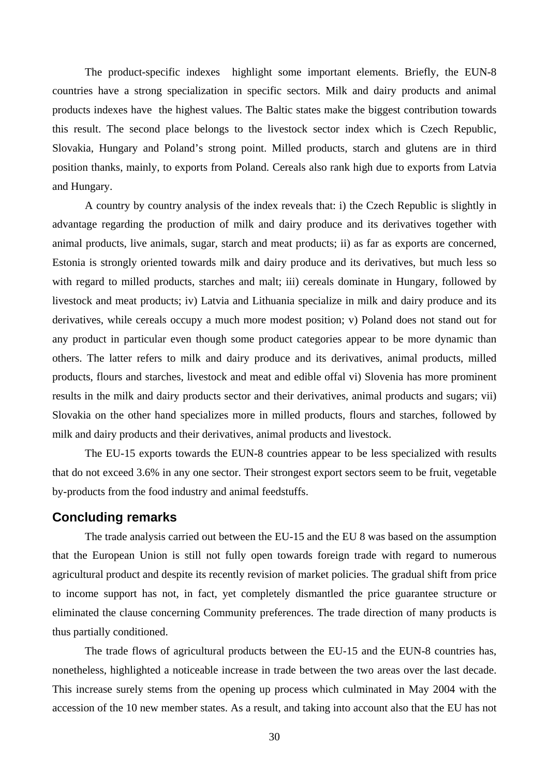The product-specific indexes highlight some important elements. Briefly, the EUN-8 countries have a strong specialization in specific sectors. Milk and dairy products and animal products indexes have the highest values. The Baltic states make the biggest contribution towards this result. The second place belongs to the livestock sector index which is Czech Republic, Slovakia, Hungary and Poland's strong point. Milled products, starch and glutens are in third position thanks, mainly, to exports from Poland. Cereals also rank high due to exports from Latvia and Hungary.

A country by country analysis of the index reveals that: i) the Czech Republic is slightly in advantage regarding the production of milk and dairy produce and its derivatives together with animal products, live animals, sugar, starch and meat products; ii) as far as exports are concerned, Estonia is strongly oriented towards milk and dairy produce and its derivatives, but much less so with regard to milled products, starches and malt; iii) cereals dominate in Hungary, followed by livestock and meat products; iv) Latvia and Lithuania specialize in milk and dairy produce and its derivatives, while cereals occupy a much more modest position; v) Poland does not stand out for any product in particular even though some product categories appear to be more dynamic than others. The latter refers to milk and dairy produce and its derivatives, animal products, milled products, flours and starches, livestock and meat and edible offal vi) Slovenia has more prominent results in the milk and dairy products sector and their derivatives, animal products and sugars; vii) Slovakia on the other hand specializes more in milled products, flours and starches, followed by milk and dairy products and their derivatives, animal products and livestock.

The EU-15 exports towards the EUN-8 countries appear to be less specialized with results that do not exceed 3.6% in any one sector. Their strongest export sectors seem to be fruit, vegetable by-products from the food industry and animal feedstuffs.

#### **Concluding remarks**

The trade analysis carried out between the EU-15 and the EU 8 was based on the assumption that the European Union is still not fully open towards foreign trade with regard to numerous agricultural product and despite its recently revision of market policies. The gradual shift from price to income support has not, in fact, yet completely dismantled the price guarantee structure or eliminated the clause concerning Community preferences. The trade direction of many products is thus partially conditioned.

The trade flows of agricultural products between the EU-15 and the EUN-8 countries has, nonetheless, highlighted a noticeable increase in trade between the two areas over the last decade. This increase surely stems from the opening up process which culminated in May 2004 with the accession of the 10 new member states. As a result, and taking into account also that the EU has not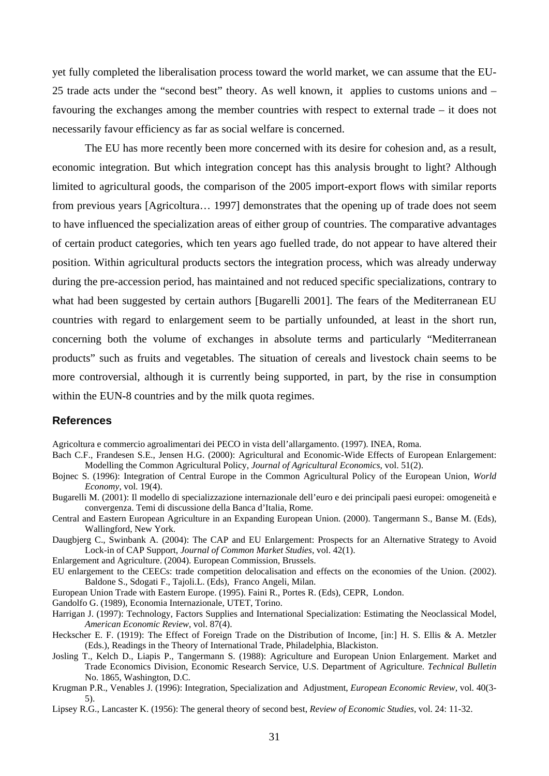yet fully completed the liberalisation process toward the world market, we can assume that the EU-25 trade acts under the "second best" theory. As well known, it applies to customs unions and – favouring the exchanges among the member countries with respect to external trade – it does not necessarily favour efficiency as far as social welfare is concerned.

The EU has more recently been more concerned with its desire for cohesion and, as a result, economic integration. But which integration concept has this analysis brought to light? Although limited to agricultural goods, the comparison of the 2005 import-export flows with similar reports from previous years [Agricoltura… 1997] demonstrates that the opening up of trade does not seem to have influenced the specialization areas of either group of countries. The comparative advantages of certain product categories, which ten years ago fuelled trade, do not appear to have altered their position. Within agricultural products sectors the integration process, which was already underway during the pre-accession period, has maintained and not reduced specific specializations, contrary to what had been suggested by certain authors [Bugarelli 2001]. The fears of the Mediterranean EU countries with regard to enlargement seem to be partially unfounded, at least in the short run, concerning both the volume of exchanges in absolute terms and particularly "Mediterranean products" such as fruits and vegetables. The situation of cereals and livestock chain seems to be more controversial, although it is currently being supported, in part, by the rise in consumption within the EUN-8 countries and by the milk quota regimes.

#### **References**

Agricoltura e commercio agroalimentari dei PECO in vista dell'allargamento. (1997). INEA, Roma.

- Bach C.F., Frandesen S.E., Jensen H.G. (2000): Agricultural and Economic-Wide Effects of European Enlargement: Modelling the Common Agricultural Policy, *Journal of Agricultural Economics*, vol. 51(2).
- Bojnec S. (1996): Integration of Central Europe in the Common Agricultural Policy of the European Union, *World Economy*, vol. 19(4).
- Bugarelli M. (2001): Il modello di specializzazione internazionale dell'euro e dei principali paesi europei: omogeneità e convergenza. Temi di discussione della Banca d'Italia, Rome.
- Central and Eastern European Agriculture in an Expanding European Union. (2000). Tangermann S., Banse M. (Eds), Wallingford, New York.
- Daugbjerg C., Swinbank A. (2004): The CAP and EU Enlargement: Prospects for an Alternative Strategy to Avoid Lock-in of CAP Support, *Journal of Common Market Studies*, vol. 42(1).

Enlargement and Agriculture. (2004). European Commission, Brussels.

EU enlargement to the CEECs: trade competition delocalisation and effects on the economies of the Union. (2002). Baldone S., Sdogati F., Tajoli.L. (Eds), Franco Angeli, Milan.

European Union Trade with Eastern Europe. (1995). Faini R., Portes R. (Eds), CEPR, London.

- Gandolfo G. (1989), Economia Internazionale, UTET, Torino.
- Harrigan J. (1997): Technology, Factors Supplies and International Specialization: Estimating the Neoclassical Model, *American Economic Review*, vol. 87(4).
- Heckscher E. F. (1919): The Effect of Foreign Trade on the Distribution of Income, [in:] H. S. Ellis & A. Metzler (Eds.), Readings in the Theory of International Trade, Philadelphia, Blackiston.
- Josling T., Kelch D., Liapis P., Tangermann S. (1988): Agriculture and European Union Enlargement. Market and Trade Economics Division, Economic Research Service, U.S. Department of Agriculture. *Technical Bulletin* No. 1865, Washington, D.C.
- Krugman P.R., Venables J. (1996): Integration, Specialization and Adjustment, *European Economic Review,* vol. 40(3- 5).
- Lipsey R.G., Lancaster K. (1956): The general theory of second best, *Review of Economic Studies*, vol. 24: 11-32.